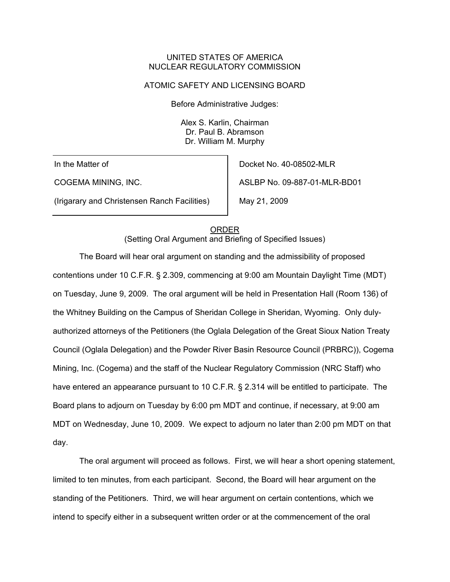#### UNITED STATES OF AMERICA NUCLEAR REGULATORY COMMISSION

#### ATOMIC SAFETY AND LICENSING BOARD

Before Administrative Judges:

Alex S. Karlin, Chairman Dr. Paul B. Abramson Dr. William M. Murphy

In the Matter of

COGEMA MINING, INC.

(Irigarary and Christensen Ranch Facilities)

Docket No. 40-08502-MLR ASLBP No. 09-887-01-MLR-BD01 May 21, 2009

#### ORDER

(Setting Oral Argument and Briefing of Specified Issues)

The Board will hear oral argument on standing and the admissibility of proposed contentions under 10 C.F.R. § 2.309, commencing at 9:00 am Mountain Daylight Time (MDT) on Tuesday, June 9, 2009. The oral argument will be held in Presentation Hall (Room 136) of the Whitney Building on the Campus of Sheridan College in Sheridan, Wyoming. Only dulyauthorized attorneys of the Petitioners (the Oglala Delegation of the Great Sioux Nation Treaty Council (Oglala Delegation) and the Powder River Basin Resource Council (PRBRC)), Cogema Mining, Inc. (Cogema) and the staff of the Nuclear Regulatory Commission (NRC Staff) who have entered an appearance pursuant to 10 C.F.R. § 2.314 will be entitled to participate. The Board plans to adjourn on Tuesday by 6:00 pm MDT and continue, if necessary, at 9:00 am MDT on Wednesday, June 10, 2009. We expect to adjourn no later than 2:00 pm MDT on that day.

 The oral argument will proceed as follows. First, we will hear a short opening statement, limited to ten minutes, from each participant. Second, the Board will hear argument on the standing of the Petitioners. Third, we will hear argument on certain contentions, which we intend to specify either in a subsequent written order or at the commencement of the oral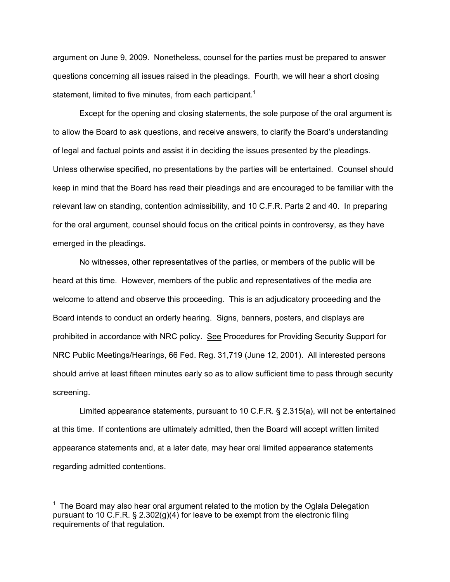argument on June 9, 2009. Nonetheless, counsel for the parties must be prepared to answer questions concerning all issues raised in the pleadings. Fourth, we will hear a short closing statement, limited to five minutes, from each participant.<sup>1</sup>

 Except for the opening and closing statements, the sole purpose of the oral argument is to allow the Board to ask questions, and receive answers, to clarify the Board's understanding of legal and factual points and assist it in deciding the issues presented by the pleadings. Unless otherwise specified, no presentations by the parties will be entertained. Counsel should keep in mind that the Board has read their pleadings and are encouraged to be familiar with the relevant law on standing, contention admissibility, and 10 C.F.R. Parts 2 and 40. In preparing for the oral argument, counsel should focus on the critical points in controversy, as they have emerged in the pleadings.

 No witnesses, other representatives of the parties, or members of the public will be heard at this time. However, members of the public and representatives of the media are welcome to attend and observe this proceeding. This is an adjudicatory proceeding and the Board intends to conduct an orderly hearing. Signs, banners, posters, and displays are prohibited in accordance with NRC policy. See Procedures for Providing Security Support for NRC Public Meetings/Hearings, 66 Fed. Reg. 31,719 (June 12, 2001). All interested persons should arrive at least fifteen minutes early so as to allow sufficient time to pass through security screening.

 Limited appearance statements, pursuant to 10 C.F.R. § 2.315(a), will not be entertained at this time. If contentions are ultimately admitted, then the Board will accept written limited appearance statements and, at a later date, may hear oral limited appearance statements regarding admitted contentions.

l

 $1$  The Board may also hear oral argument related to the motion by the Oglala Delegation pursuant to 10 C.F.R. § 2.302(g)(4) for leave to be exempt from the electronic filing requirements of that regulation.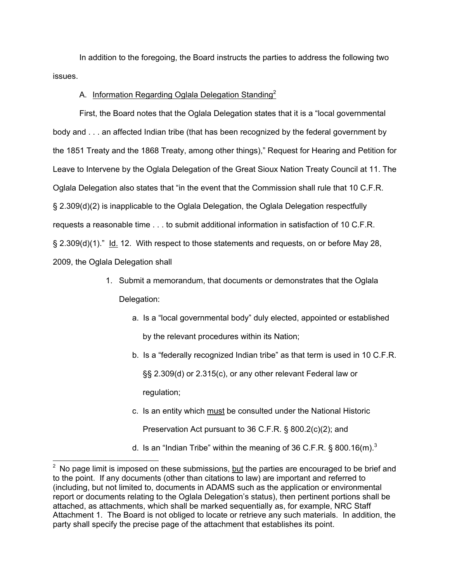In addition to the foregoing, the Board instructs the parties to address the following two issues.

#### A. Information Regarding Oglala Delegation Standing<sup>2</sup>

First, the Board notes that the Oglala Delegation states that it is a "local governmental body and . . . an affected Indian tribe (that has been recognized by the federal government by the 1851 Treaty and the 1868 Treaty, among other things)," Request for Hearing and Petition for Leave to Intervene by the Oglala Delegation of the Great Sioux Nation Treaty Council at 11. The Oglala Delegation also states that "in the event that the Commission shall rule that 10 C.F.R. § 2.309(d)(2) is inapplicable to the Oglala Delegation, the Oglala Delegation respectfully requests a reasonable time . . . to submit additional information in satisfaction of 10 C.F.R. § 2.309(d)(1)." Id. 12. With respect to those statements and requests, on or before May 28, 2009, the Oglala Delegation shall

- 1. Submit a memorandum, that documents or demonstrates that the Oglala Delegation:
	- a. Is a "local governmental body" duly elected, appointed or established by the relevant procedures within its Nation;
	- b. Is a "federally recognized Indian tribe" as that term is used in 10 C.F.R. §§ 2.309(d) or 2.315(c), or any other relevant Federal law or regulation;
	- c. Is an entity which must be consulted under the National Historic Preservation Act pursuant to 36 C.F.R. § 800.2(c)(2); and
	- d. Is an "Indian Tribe" within the meaning of 36 C.F.R. § 800.16 $(m)$ .<sup>3</sup>

l

 $2$  No page limit is imposed on these submissions, but the parties are encouraged to be brief and to the point. If any documents (other than citations to law) are important and referred to (including, but not limited to, documents in ADAMS such as the application or environmental report or documents relating to the Oglala Delegation's status), then pertinent portions shall be attached, as attachments, which shall be marked sequentially as, for example, NRC Staff Attachment 1. The Board is not obliged to locate or retrieve any such materials. In addition, the party shall specify the precise page of the attachment that establishes its point.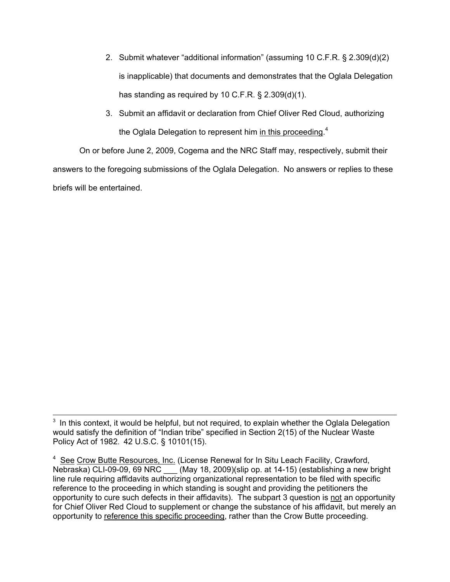- 2. Submit whatever "additional information" (assuming 10 C.F.R. § 2.309(d)(2) is inapplicable) that documents and demonstrates that the Oglala Delegation has standing as required by 10 C.F.R. § 2.309(d)(1).
- 3. Submit an affidavit or declaration from Chief Oliver Red Cloud, authorizing the Oglala Delegation to represent him in this proceeding.<sup>4</sup>

 On or before June 2, 2009, Cogema and the NRC Staff may, respectively, submit their answers to the foregoing submissions of the Oglala Delegation. No answers or replies to these briefs will be entertained.

<sup>&</sup>lt;sup>3</sup> In this context, it would be helpful, but not required, to explain whether the Oglala Delegation would satisfy the definition of "Indian tribe" specified in Section 2(15) of the Nuclear Waste Policy Act of 1982. 42 U.S.C. § 10101(15).

<sup>&</sup>lt;sup>4</sup> See Crow Butte Resources, Inc. (License Renewal for In Situ Leach Facility, Crawford, Nebraska) CLI-09-09, 69 NRC \_\_\_ (May 18, 2009)(slip op. at 14-15) (establishing a new bright line rule requiring affidavits authorizing organizational representation to be filed with specific reference to the proceeding in which standing is sought and providing the petitioners the opportunity to cure such defects in their affidavits). The subpart 3 question is not an opportunity for Chief Oliver Red Cloud to supplement or change the substance of his affidavit, but merely an opportunity to reference this specific proceeding, rather than the Crow Butte proceeding.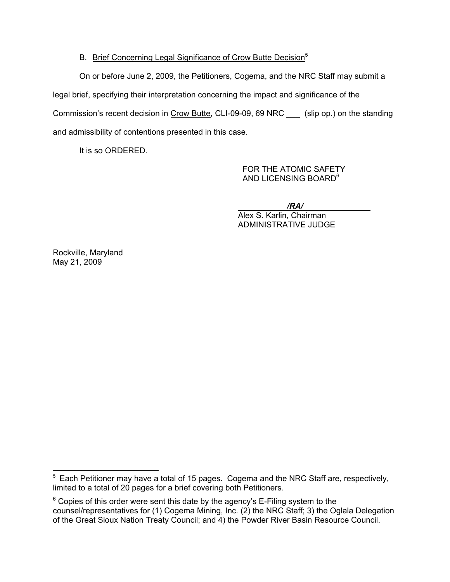## B. Brief Concerning Legal Significance of Crow Butte Decision<sup>5</sup>

On or before June 2, 2009, the Petitioners, Cogema, and the NRC Staff may submit a legal brief, specifying their interpretation concerning the impact and significance of the Commission's recent decision in Crow Butte, CLI-09-09, 69 NRC \_\_\_ (slip op.) on the standing and admissibility of contentions presented in this case.

It is so ORDERED.

 FOR THE ATOMIC SAFETY AND LICENSING BOARD<sup>6</sup>

 */RA/*  Alex S. Karlin, Chairman ADMINISTRATIVE JUDGE

Rockville, Maryland May 21, 2009

<sup>————————————————————&</sup>lt;br><sup>5</sup> Each Petitioner may have a total of 15 pages. Cogema and the NRC Staff are, respectively, limited to a total of 20 pages for a brief covering both Petitioners.

 $6$  Copies of this order were sent this date by the agency's E-Filing system to the counsel/representatives for (1) Cogema Mining, Inc. (2) the NRC Staff; 3) the Oglala Delegation of the Great Sioux Nation Treaty Council; and 4) the Powder River Basin Resource Council.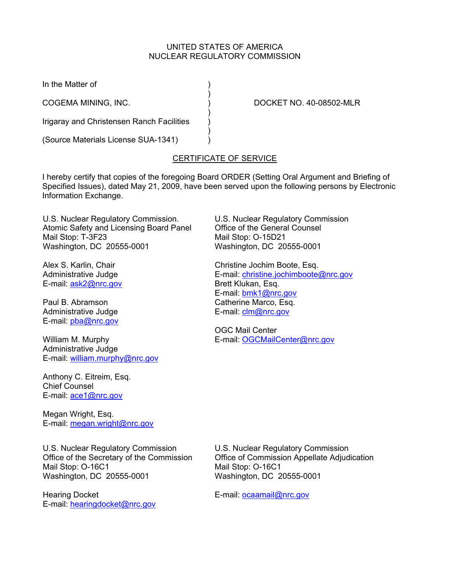### UNITED STATES OF AMERICA NUCLEAR REGULATORY COMMISSION

In the Matter of )

COGEMA MINING, INC. ) DOCKET NO. 40-08502-MLR

Irigaray and Christensen Ranch Facilities )

 $)$ 

 $)$ 

(Source Materials License SUA-1341) )

# CERTIFICATE OF SERVICE

 $\rightarrow$ 

I hereby certify that copies of the foregoing Board ORDER (Setting Oral Argument and Briefing of Specified Issues), dated May 21, 2009, have been served upon the following persons by Electronic Information Exchange.

U.S. Nuclear Regulatory Commission. Atomic Safety and Licensing Board Panel Mail Stop: T-3F23 Washington, DC 20555-0001

Alex S. Karlin, Chair Administrative Judge E-mail: ask2@nrc.gov

Paul B. Abramson Administrative Judge E-mail: pba@nrc.gov

William M. Murphy Administrative Judge E-mail: william.murphy@nrc.gov

Anthony C. Eitreim, Esq. Chief Counsel E-mail: ace1@nrc.gov

Megan Wright, Esq. E-mail: megan.wright@nrc.gov U.S. Nuclear Regulatory Commission Office of the General Counsel Mail Stop: O-15D21 Washington, DC 20555-0001

Christine Jochim Boote, Esq. E-mail: christine.jochimboote@nrc.gov Brett Klukan, Esq. E-mail: bmk1@nrc.gov Catherine Marco, Esq. E-mail: clm@nrc.gov

OGC Mail Center E-mail: OGCMailCenter@nrc.gov

U.S. Nuclear Regulatory Commission Office of the Secretary of the Commission Mail Stop: O-16C1 Washington, DC 20555-0001

Hearing Docket E-mail: hearingdocket@nrc.gov U.S. Nuclear Regulatory Commission Office of Commission Appellate Adjudication Mail Stop: O-16C1 Washington, DC 20555-0001

E-mail: ocaamail@nrc.gov